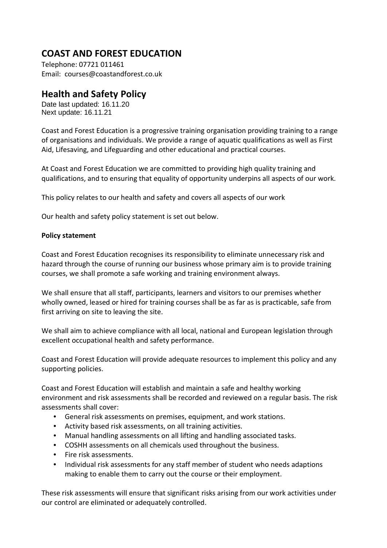## **COAST AND FOREST EDUCATION**

Telephone: 07721 011461 Email: courses@coastandforest.co.uk

## **Health and Safety Policy**

Date last updated: 16.11.20 Next update: 16.11.21

Coast and Forest Education is a progressive training organisation providing training to a range of organisations and individuals. We provide a range of aquatic qualifications as well as First Aid, Lifesaving, and Lifeguarding and other educational and practical courses.

At Coast and Forest Education we are committed to providing high quality training and qualifications, and to ensuring that equality of opportunity underpins all aspects of our work.

This policy relates to our health and safety and covers all aspects of our work

Our health and safety policy statement is set out below.

## **Policy statement**

Coast and Forest Education recognises its responsibility to eliminate unnecessary risk and hazard through the course of running our business whose primary aim is to provide training courses, we shall promote a safe working and training environment always.

We shall ensure that all staff, participants, learners and visitors to our premises whether wholly owned, leased or hired for training courses shall be as far as is practicable, safe from first arriving on site to leaving the site.

We shall aim to achieve compliance with all local, national and European legislation through excellent occupational health and safety performance.

Coast and Forest Education will provide adequate resources to implement this policy and any supporting policies.

Coast and Forest Education will establish and maintain a safe and healthy working environment and risk assessments shall be recorded and reviewed on a regular basis. The risk assessments shall cover:

- General risk assessments on premises, equipment, and work stations.
- Activity based risk assessments, on all training activities.
- Manual handling assessments on all lifting and handling associated tasks.
- COSHH assessments on all chemicals used throughout the business.
- Fire risk assessments.
- Individual risk assessments for any staff member of student who needs adaptions making to enable them to carry out the course or their employment.

These risk assessments will ensure that significant risks arising from our work activities under our control are eliminated or adequately controlled.